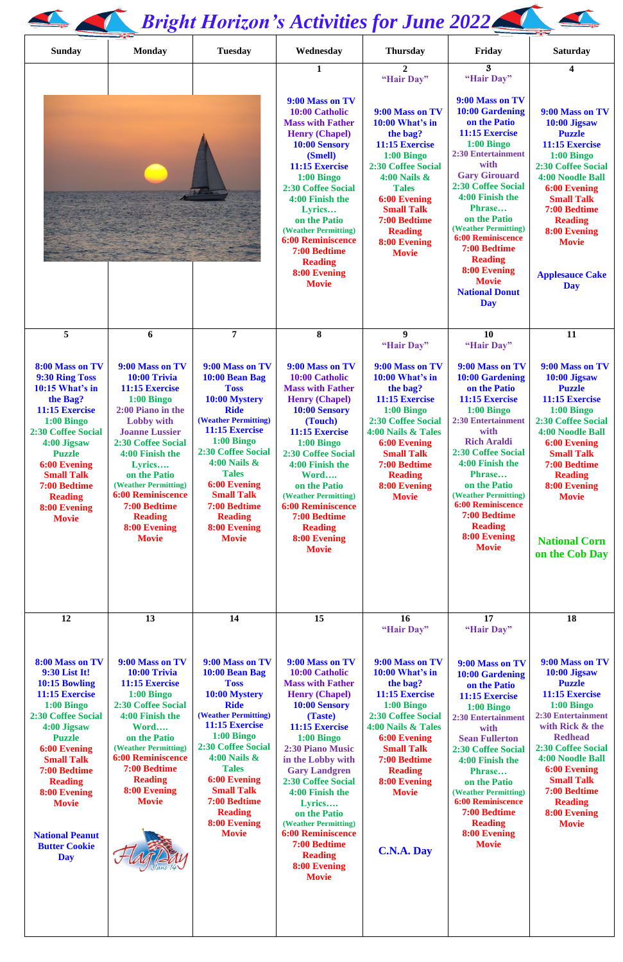## *Bright Horizon's Activities for June 2022*

| <b>Sunday</b>                                                                                                                                                                                                                                                          | <b>Monday</b>                                                                                                                                                                                                                                                                                                                        | <b>Tuesday</b>                                                                                                                                                                                                                                                                                                      | Wednesday                                                                                                                                                                                                                                                                                                                                           | <b>Thursday</b>                                                                                                                                                                                                                                                  | Friday                                                                                                                                                                                                                                                                                                                                                                            | <b>Saturday</b>                                                                                                                                                                                                                                                                           |
|------------------------------------------------------------------------------------------------------------------------------------------------------------------------------------------------------------------------------------------------------------------------|--------------------------------------------------------------------------------------------------------------------------------------------------------------------------------------------------------------------------------------------------------------------------------------------------------------------------------------|---------------------------------------------------------------------------------------------------------------------------------------------------------------------------------------------------------------------------------------------------------------------------------------------------------------------|-----------------------------------------------------------------------------------------------------------------------------------------------------------------------------------------------------------------------------------------------------------------------------------------------------------------------------------------------------|------------------------------------------------------------------------------------------------------------------------------------------------------------------------------------------------------------------------------------------------------------------|-----------------------------------------------------------------------------------------------------------------------------------------------------------------------------------------------------------------------------------------------------------------------------------------------------------------------------------------------------------------------------------|-------------------------------------------------------------------------------------------------------------------------------------------------------------------------------------------------------------------------------------------------------------------------------------------|
|                                                                                                                                                                                                                                                                        |                                                                                                                                                                                                                                                                                                                                      |                                                                                                                                                                                                                                                                                                                     | 1                                                                                                                                                                                                                                                                                                                                                   | $\overline{2}$<br>"Hair Day"                                                                                                                                                                                                                                     | $\mathbf{3}$<br>"Hair Day"                                                                                                                                                                                                                                                                                                                                                        | 4                                                                                                                                                                                                                                                                                         |
|                                                                                                                                                                                                                                                                        |                                                                                                                                                                                                                                                                                                                                      |                                                                                                                                                                                                                                                                                                                     | 9:00 Mass on TV<br>10:00 Catholic<br><b>Mass with Father</b><br><b>Henry (Chapel)</b><br>10:00 Sensory<br>(Smell)<br>11:15 Exercise<br>$1:00$ Bingo<br><b>2:30 Coffee Social</b><br>4:00 Finish the<br>Lyrics<br>on the Patio<br>(Weather Permitting)<br><b>6:00 Reminiscence</b><br>7:00 Bedtime<br><b>Reading</b><br>8:00 Evening<br><b>Movie</b> | 9:00 Mass on TV<br>10:00 What's in<br>the bag?<br>11:15 Exercise<br>$1:00$ Bingo<br><b>2:30 Coffee Social</b><br>$4:00$ Nails $\&$<br><b>Tales</b><br><b>6:00 Evening</b><br><b>Small Talk</b><br>7:00 Bedtime<br><b>Reading</b><br>8:00 Evening<br><b>Movie</b> | 9:00 Mass on TV<br>10:00 Gardening<br>on the Patio<br>11:15 Exercise<br>$1:00$ Bingo<br><b>2:30 Entertainment</b><br>with<br><b>Gary Girouard</b><br>2:30 Coffee Social<br>4:00 Finish the<br>Phrase<br>on the Patio<br>(Weather Permitting)<br><b>6:00 Reminiscence</b><br>7:00 Bedtime<br><b>Reading</b><br>8:00 Evening<br><b>Movie</b><br><b>National Donut</b><br><b>Day</b> | 9:00 Mass on TV<br>10:00 Jigsaw<br><b>Puzzle</b><br>11:15 Exercise<br>$1:00$ Bingo<br>2:30 Coffee Social<br><b>4:00 Noodle Ball</b><br><b>6:00 Evening</b><br><b>Small Talk</b><br>7:00 Bedtime<br><b>Reading</b><br>8:00 Evening<br><b>Movie</b><br><b>Applesauce Cake</b><br><b>Day</b> |
| 5                                                                                                                                                                                                                                                                      | 6                                                                                                                                                                                                                                                                                                                                    | $\overline{7}$                                                                                                                                                                                                                                                                                                      | 8                                                                                                                                                                                                                                                                                                                                                   | $\boldsymbol{9}$<br>"Hair Day"                                                                                                                                                                                                                                   | 10<br>"Hair Day"                                                                                                                                                                                                                                                                                                                                                                  | 11                                                                                                                                                                                                                                                                                        |
| 8:00 Mass on TV<br>9:30 Ring Toss<br>10:15 What's in<br>the Bag?<br>11:15 Exercise<br>$1:00$ Bingo<br>2:30 Coffee Social<br>4:00 Jigsaw<br><b>Puzzle</b><br><b>6:00 Evening</b><br><b>Small Talk</b><br>7:00 Bedtime<br><b>Reading</b><br>8:00 Evening<br><b>Movie</b> | 9:00 Mass on TV<br>10:00 Trivia<br>11:15 Exercise<br>$1:00$ Bingo<br>2:00 Piano in the<br><b>Lobby with</b><br><b>Joanne Lussier</b><br><b>2:30 Coffee Social</b><br>4:00 Finish the<br>Lyrics<br>on the Patio<br>(Weather Permitting)<br><b>6:00 Reminiscence</b><br>7:00 Bedtime<br><b>Reading</b><br>8:00 Evening<br><b>Movie</b> | 9:00 Mass on TV<br>10:00 Bean Bag<br><b>Toss</b><br>10:00 Mystery<br><b>Ride</b><br>(Weather Permitting)<br>11:15 Exercise<br>$1:00$ Bingo<br>2:30 Coffee Social<br>$4:00$ Nails $\&$<br><b>Tales</b><br><b>6:00 Evening</b><br><b>Small Talk</b><br>7:00 Bedtime<br><b>Reading</b><br>8:00 Evening<br><b>Movie</b> | 9:00 Mass on TV<br>10:00 Catholic<br><b>Mass with Father</b><br><b>Henry (Chapel)</b><br>10:00 Sensory<br>(Touch)<br>11:15 Exercise<br>$1:00$ Bingo<br>2:30 Coffee Social<br>4:00 Finish the<br>Word<br>on the Patio<br>(Weather Permitting)<br><b>6:00 Reminiscence</b><br>7:00 Bedtime<br><b>Reading</b><br>8:00 Evening<br><b>Movie</b>          | 9:00 Mass on TV<br>10:00 What's in<br>the bag?<br>11:15 Exercise<br>$1:00$ Bingo<br><b>2:30 Coffee Social</b><br>4:00 Nails & Tales<br><b>6:00 Evening</b><br><b>Small Talk</b><br>7:00 Bedtime<br><b>Reading</b><br>8:00 Evening<br><b>Movie</b>                | 9:00 Mass on TV<br>10:00 Gardening<br>on the Patio<br>11:15 Exercise<br>$1:00$ Bingo<br><b>2:30 Entertainment</b><br>with<br><b>Rich Araldi</b><br><b>2:30 Coffee Social</b><br>4:00 Finish the<br>Phrase<br>on the Patio<br>(Weather Permitting)<br><b>6:00 Reminiscence</b><br>7:00 Bedtime<br><b>Reading</b><br>8:00 Evening<br><b>Movie</b>                                   | 9:00 Mass on TV<br>10:00 Jigsaw<br><b>Puzzle</b><br>11:15 Exercise<br>$1:00$ Bingo<br>2:30 Coffee Social<br>4:00 Noodle Ball<br><b>6:00 Evening</b><br><b>Small Talk</b><br>7:00 Bedtime<br><b>Reading</b><br>8:00 Evening<br><b>Movie</b><br><b>National Corn</b><br>on the Cob Day      |
| 12                                                                                                                                                                                                                                                                     | 13                                                                                                                                                                                                                                                                                                                                   | 14                                                                                                                                                                                                                                                                                                                  | 15                                                                                                                                                                                                                                                                                                                                                  | <b>16</b><br>"Hair Day"                                                                                                                                                                                                                                          | 17<br>"Hair Day"                                                                                                                                                                                                                                                                                                                                                                  | 18                                                                                                                                                                                                                                                                                        |
| 8:00 Mass on TV<br>9:30 List It!<br>10:15 Bowling<br>11:15 Exercise<br>$1:00$ Bingo                                                                                                                                                                                    | 9:00 Mass on TV<br>10:00 Trivia<br>11:15 Exercise<br>$1:00$ Bingo<br>2:30 Coffee Social                                                                                                                                                                                                                                              | 9:00 Mass on TV<br>10:00 Bean Bag<br><b>Toss</b><br>10:00 Mystery<br><b>Ride</b>                                                                                                                                                                                                                                    | 9:00 Mass on TV<br>10:00 Catholic<br><b>Mass with Father</b><br><b>Henry (Chapel)</b><br>10:00 Sensory                                                                                                                                                                                                                                              | 9:00 Mass on TV<br>10:00 What's in<br>the bag?<br>11:15 Exercise<br>$1:00$ Bingo                                                                                                                                                                                 | 9:00 Mass on TV<br>10:00 Gardening<br>on the Patio<br>11:15 Exercise<br>$1:00$ Bingo                                                                                                                                                                                                                                                                                              | 9:00 Mass on TV<br>10:00 Jigsaw<br><b>Puzzle</b><br>11:15 Exercise<br>$1:00$ Bingo                                                                                                                                                                                                        |

**1:00 Bingo 2:30 Coffee Social 4:00 Jigsaw Puzzle 6:00 Evening Small Talk 7:00 Bedtime Reading 8:00 Evening Movie**

**National Peanut Butter Cookie Day**

**2:30 Coffee Social 4:00 Finish the Word…. on the Patio (Weather Permitting) 6:00 Reminiscence 7:00 Bedtime Reading 8:00 Evening Movie**



**(Weather Permitting) 11:15 Exercise 1:00 Bingo 2:30 Coffee Social 4:00 Nails & Tales 6:00 Evening Small Talk 7:00 Bedtime Reading 8:00 Evening Movie**

**10:00 Sensory (Taste) 11:15 Exercise 1:00 Bingo 2:30 Piano Music in the Lobby with Gary Landgren 2:30 Coffee Social 4:00 Finish the Lyrics…. on the Patio (Weather Permitting) 6:00 Reminiscence 7:00 Bedtime Reading 8:00 Evening Movie**

**1:00 Bingo 2:30 Coffee Social 4:00 Nails & Tales 6:00 Evening Small Talk 7:00 Bedtime Reading 8:00 Evening Movie**

**C.N.A. Day**

**1:00 Bingo 2:30 Entertainment with Sean Fullerton 2:30 Coffee Social 4:00 Finish the Phrase… on the Patio (Weather Permitting) 6:00 Reminiscence 7:00 Bedtime Reading 8:00 Evening Movie**

**1:00 Bingo 2:30 Entertainment with Rick & the Redhead 2:30 Coffee Social 4:00 Noodle Ball 6:00 Evening Small Talk 7:00 Bedtime Reading 8:00 Evening Movie**